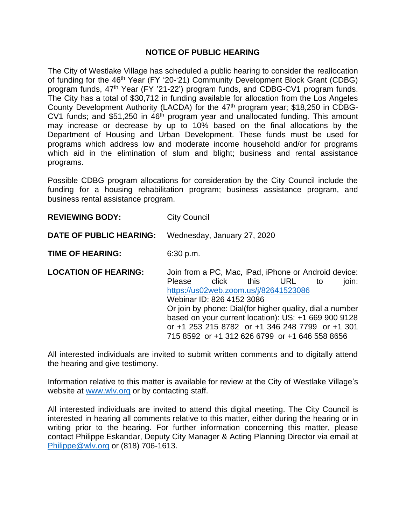## **NOTICE OF PUBLIC HEARING**

The City of Westlake Village has scheduled a public hearing to consider the reallocation of funding for the 46<sup>th</sup> Year (FY '20-'21) Community Development Block Grant (CDBG) program funds, 47<sup>th</sup> Year (FY '21-22') program funds, and CDBG-CV1 program funds. The City has a total of \$30,712 in funding available for allocation from the Los Angeles County Development Authority (LACDA) for the 47<sup>th</sup> program year; \$18,250 in CDBG-CV1 funds; and \$51,250 in  $46<sup>th</sup>$  program year and unallocated funding. This amount may increase or decrease by up to 10% based on the final allocations by the Department of Housing and Urban Development. These funds must be used for programs which address low and moderate income household and/or for programs which aid in the elimination of slum and blight; business and rental assistance programs.

Possible CDBG program allocations for consideration by the City Council include the funding for a housing rehabilitation program; business assistance program, and business rental assistance program.

**REVIEWING BODY:** City Council

## **DATE OF PUBLIC HEARING:** Wednesday, January 27, 2020

**TIME OF HEARING:** 6:30 p.m.

**LOCATION OF HEARING:** Join from a PC, Mac, iPad, iPhone or Android device: Please click this URL to join: <https://us02web.zoom.us/j/82641523086> Webinar ID: 826 4152 3086 Or join by phone: Dial(for higher quality, dial a number based on your current location): US: +1 669 900 9128 or +1 253 215 8782 or +1 346 248 7799 or +1 301 715 8592 or +1 312 626 6799 or +1 646 558 8656

All interested individuals are invited to submit written comments and to digitally attend the hearing and give testimony.

Information relative to this matter is available for review at the City of Westlake Village's website at [www.wlv.org](http://www.wlv.org/) or by contacting staff.

All interested individuals are invited to attend this digital meeting. The City Council is interested in hearing all comments relative to this matter, either during the hearing or in writing prior to the hearing. For further information concerning this matter, please contact Philippe Eskandar, Deputy City Manager & Acting Planning Director via email at [Philippe@wlv.org](mailto:Philippe@wlv.org) or (818) 706-1613.